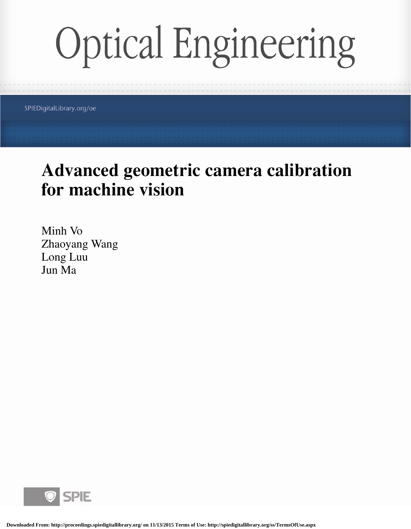# **Optical Engineering**

SPIEDigitalLibrary.org/oe

# **Advanced geometric camera calibration for machine vision**

Minh Vo Zhaoyang Wang Long Luu Jun Ma

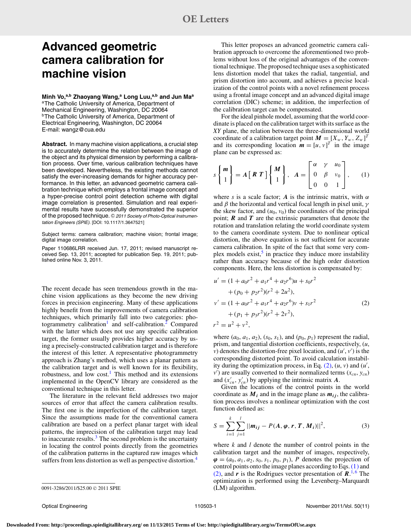## **Advanced geometric camera calibration for machine vision**

**Minh Vo,a,b Zhaoyang Wang,<sup>a</sup> Long Luu,a,b and Jun Ma<sup>a</sup>** aThe Catholic University of America, Department of Mechanical Engineering, Washington, DC 20064 *bThe Catholic University of America, Department of* Electrical Engineering, Washington, DC 20064 E-mail: [wangz@cua.edu](mailto:wangz@cua.edu)

**Abstract.** In many machine vision applications, a crucial step is to accurately determine the relation between the image of the object and its physical dimension by performing a calibration process. Over time, various calibration techniques have been developed. Nevertheless, the existing methods cannot satisfy the ever-increasing demands for higher accuracy performance. In this letter, an advanced geometric camera calibration technique which employs a frontal image concept and a hyper-precise control point detection scheme with digital image correlation is presented. Simulation and real experimental results have successfully demonstrated the superior of the proposed technique. © 2011 Society of Photo-Optical Instrumentation Engineers (SPIE). [DOI: 10.1117/1.3647521]

Subject terms: camera calibration; machine vision; frontal image; digital image correlation.

Paper 110686LRR received Jun. 17, 2011; revised manuscript received Sep. 13, 2011; accepted for publication Sep. 19, 2011; published online Nov. 3, 2011.

The recent decade has seen tremendous growth in the machine vision applications as they become the new driving forces in precision engineering. Many of these applications highly benefit from the improvements of camera calibration techniques, which primarily fall into two categories: pho-togrammetry calibration<sup>1</sup> and self-calibration.<sup>[2](#page-3-1)</sup> Compared with the latter which does not use any specific calibration target, the former usually provides higher accuracy by using a precisely-constructed calibration target and is therefore the interest of this letter. A representative photogrammetry approach is Zhang's method, which uses a planar pattern as the calibration target and is well known for its flexibility, robustness, and low cost[.1](#page-3-0) This method and its extensions implemented in the OpenCV library are considered as the conventional technique in this letter.

The literature in the relevant field addresses two major sources of error that affect the camera calibration results. The first one is the imperfection of the calibration target. Since the assumptions made for the conventional camera calibration are based on a perfect planar target with ideal patterns, the imprecision of the calibration target may lead to inaccurate results. $3$  The second problem is the uncertainty in locating the control points directly from the geometries of the calibration patterns in the captured raw images which suffers from lens distortion as well as perspective distortion.<sup>[4](#page-3-3)</sup>

This letter proposes an advanced geometric camera calibration approach to overcome the aforementioned two problems without loss of the original advantages of the conventional technique. The proposed technique uses a sophisticated lens distortion model that takes the radial, tangential, and prism distortion into account, and achieves a precise localization of the control points with a novel refinement process using a frontal image concept and an advanced digital image correlation (DIC) scheme; in addition, the imperfection of the calibration target can be compensated.

For the ideal pinhole model, assuming that the world coordinate is placed on the calibration target with its surface as the *XY* plane, the relation between the three-dimensional world coordinate of a calibration target point  $M = [X_w, Y_w, Z_w]^T$ and its corresponding location  $\mathbf{m} = [u, v]^T$  in the image plane can be expressed as:

<span id="page-1-1"></span>
$$
s\begin{Bmatrix}\nm \\
1\n\end{Bmatrix} = A[R\ T]\begin{Bmatrix}\nM \\
1\n\end{Bmatrix},\ A = \begin{bmatrix}\n\alpha & \gamma & u_0 \\
0 & \beta & v_0 \\
0 & 0 & 1\n\end{bmatrix}, \quad (1)
$$

where *s* is a scale factor; *A* is the intrinsic matrix, with  $\alpha$ and  $\beta$  the horizontal and vertical focal length in pixel unit,  $\gamma$ the skew factor, and  $(u_0, v_0)$  the coordinates of the principal point; *R* and *T* are the extrinsic parameters that denote the rotation and translation relating the world coordinate system to the camera coordinate system. Due to nonlinear optical distortion, the above equation is not sufficient for accurate camera calibration. In spite of the fact that some very complex models exist, $5$  in practice they induce more instability rather than accuracy because of the high order distortion components. Here, the lens distortion is compensated by:

<span id="page-1-0"></span>
$$
u' = (1 + a_0r^2 + a_1r^4 + a_2r^6)u + s_0r^2
$$
  
+  $(p_0 + p_2r^2)(r^2 + 2u^2)$ ,  

$$
v' = (1 + a_0r^2 + a_1r^4 + a_2r^6)v + s_1r^2
$$
  
+  $(p_1 + p_3r^2)(r^2 + 2v^2)$ ,  

$$
r^2 = u^2 + v^2
$$
, (2)

where  $(a_0, a_1, a_2)$ ,  $(s_0, s_1)$ , and  $(p_0, p_1)$  represent the radial, prism, and tangential distortion coefficients, respectively, (*u*, *v*) denotes the distortion-free pixel location, and  $(u', v')$  is the corresponding distorted point. To avoid calculation instability during the optimization process, in Eq.  $(2)$ ,  $(u, v)$  and  $(u', v')$  $v'$ ) are usually converted to their normalized terms  $(x_{cn}, y_{cn})$ and  $(x'_{cn}, y'_{cn})$  by applying the intrinsic matrix *A*.

Given the locations of the control points in the world coordinate as  $M_i$  and in the image plane as  $m_{ij}$ , the calibration process involves a nonlinear optimization with the cost function defined as:

<span id="page-1-2"></span>
$$
S = \sum_{i=1}^{k} \sum_{j=1}^{l} ||m_{ij} - P(A, \varphi, r, T, M_i)||^2,
$$
 (3)

where *k* and *l* denote the number of control points in the calibration target and the number of images, respectively,  $\varphi = (a_0, a_1, a_2, s_0, s_1, p_0, p_1)$ , *P* denotes the projection of control points onto the image planes according to Eqs.[\(1\)](#page-1-1) and [\(2\),](#page-1-0) and  $\bf{r}$  is the Rodrigues vector presentation of  $\bf{R}$ <sup>[1,](#page-3-0)[6](#page-3-5)</sup> The optimization is performed using the Levenberg–Marquardt (LM) algorithm.

<sup>0091-3286/2011/\$25.00 © 2011</sup> SPIE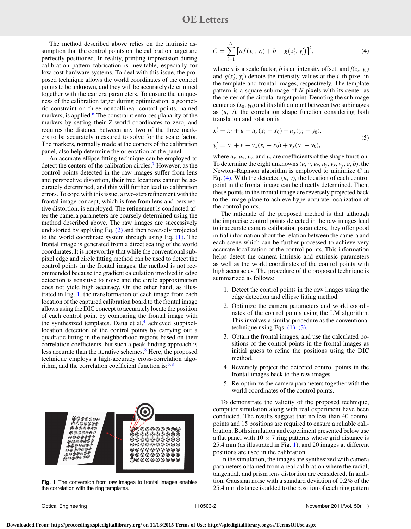#### **OE Letters**

The method described above relies on the intrinsic assumption that the control points on the calibration target are perfectly positioned. In reality, printing imprecision during calibration pattern fabrication is inevitable, especially for low-cost hardware systems. To deal with this issue, the proposed technique allows the world coordinates of the control points to be unknown, and they will be accurately determined together with the camera parameters. To ensure the uniqueness of the calibration target during optimization, a geometric constraint on three noncollinear control points, named markers, is applied.<sup>[6](#page-3-5)</sup> The constraint enforces planarity of the markers by setting their *Z* world coordinates to zero, and requires the distance between any two of the three markers to be accurately measured to solve for the scale factor. The markers, normally made at the corners of the calibration panel, also help determine the orientation of the panel.

An accurate ellipse fitting technique can be employed to detect the centers of the calibration circles.<sup>7</sup> However, as the control points detected in the raw images suffer from lens and perspective distortion, their true locations cannot be accurately determined, and this will further lead to calibration errors. To cope with this issue, a two-step refinement with the frontal image concept, which is free from lens and perspective distortion, is employed. The refinement is conducted after the camera parameters are coarsely determined using the method described above. The raw images are successively undistorted by applying Eq. [\(2\)](#page-1-0) and then reversely projected to the world coordinate system through using Eq. [\(1\).](#page-1-1) The frontal image is generated from a direct scaling of the world coordinates. It is noteworthy that while the conventional subpixel edge and circle fitting method can be used to detect the control points in the frontal images, the method is not recommended because the gradient calculation involved in edge detection is sensitive to noise and the circle approximation does not yield high accuracy. On the other hand, as illustrated in Fig. [1,](#page-2-0) the transformation of each image from each location of the captured calibration board to the frontal image allows using the DIC concept to accurately locate the position of each control point by comparing the frontal image with the synthesized templates. Datta et al. $4$  achieved subpixellocation detection of the control points by carrying out a quadratic fitting in the neighborhood regions based on their correlation coefficients, but such a peak-finding approach is less accurate than the iterative schemes.<sup>8</sup> Here, the proposed technique employs a high-accuracy cross-correlation algorithm, and the correlation coefficient function is: $6, 8$  $6, 8$ 

<span id="page-2-0"></span>

**Fig. 1** The conversion from raw images to frontal images enables the correlation with the ring templates.

$$
C = \sum_{i=1}^{N} \left[ af(x_i, y_i) + b - g(x'_i, y'_i) \right]^2, \tag{4}
$$

where *a* is a scale factor, *b* is an intensity offset, and  $f(x_i, y_i)$ and  $g(x'_i, y'_i)$  denote the intensity values at the *i*–th pixel in the template and frontal images, respectively. The template pattern is a square subimage of *N* pixels with its center as the center of the circular target point. Denoting the subimage center as  $(x_0, y_0)$  and its shift amount between two subimages as (*u*, *v*), the correlation shape function considering both translation and rotation is

$$
x'_{i} = x_{i} + u + u_{x}(x_{i} - x_{0}) + u_{y}(y_{i} - y_{0}),
$$
  
\n
$$
y'_{i} = y_{i} + v + v_{x}(x_{i} - x_{0}) + v_{y}(y_{i} - y_{0}),
$$
\n(5)

where  $u_x$ ,  $u_y$ ,  $v_x$ , and  $v_y$  are coefficients of the shape function. To determine the eight unknowns  $(u, v, u_x, u_y, v_x, v_y, a, b)$ , the Newton–Raphson algorithm is employed to minimize *C* in Eq.  $(4)$ . With the detected  $(u, v)$ , the location of each control point in the frontal image can be directly determined. Then, these points in the frontal image are reversely projected back to the image plane to achieve hyperaccurate localization of the control points.

The rationale of the proposed method is that although the imprecise control points detected in the raw images lead to inaccurate camera calibration parameters, they offer good initial information about the relation between the camera and each scene which can be further processed to achieve very accurate localization of the control points. This information helps detect the camera intrinsic and extrinsic parameters as well as the world coordinates of the control points with high accuracies. The procedure of the proposed technique is summarized as follows:

- 1. Detect the control points in the raw images using the edge detection and ellipse fitting method.
- 2. Optimize the camera parameters and world coordinates of the control points using the LM algorithm. This involves a similar procedure as the conventional technique using Eqs.  $(1)$ – $(3)$ .
- 3. Obtain the frontal images, and use the calculated positions of the control points in the frontal images as initial guess to refine the positions using the DIC method.
- 4. Reversely project the detected control points in the frontal images back to the raw images.
- 5. Re-optimize the camera parameters together with the world coordinates of the control points.

<span id="page-2-1"></span>To demonstrate the validity of the proposed technique, computer simulation along with real experiment have been conducted. The results suggest that no less than 40 control points and 15 positions are required to ensure a reliable calibration. Both simulation and experiment presented below use a flat panel with  $10 \times 7$  ring patterns whose grid distance is 25.4 mm (as illustrated in Fig. [1\)](#page-2-0), and 20 images at different positions are used in the calibration.

In the simulation, the images are synthesized with camera parameters obtained from a real calibration where the radial, tangential, and prism lens distortion are considered. In addition, Gaussian noise with a standard deviation of 0.2% of the 25.4 mm distance is added to the position of each ring pattern